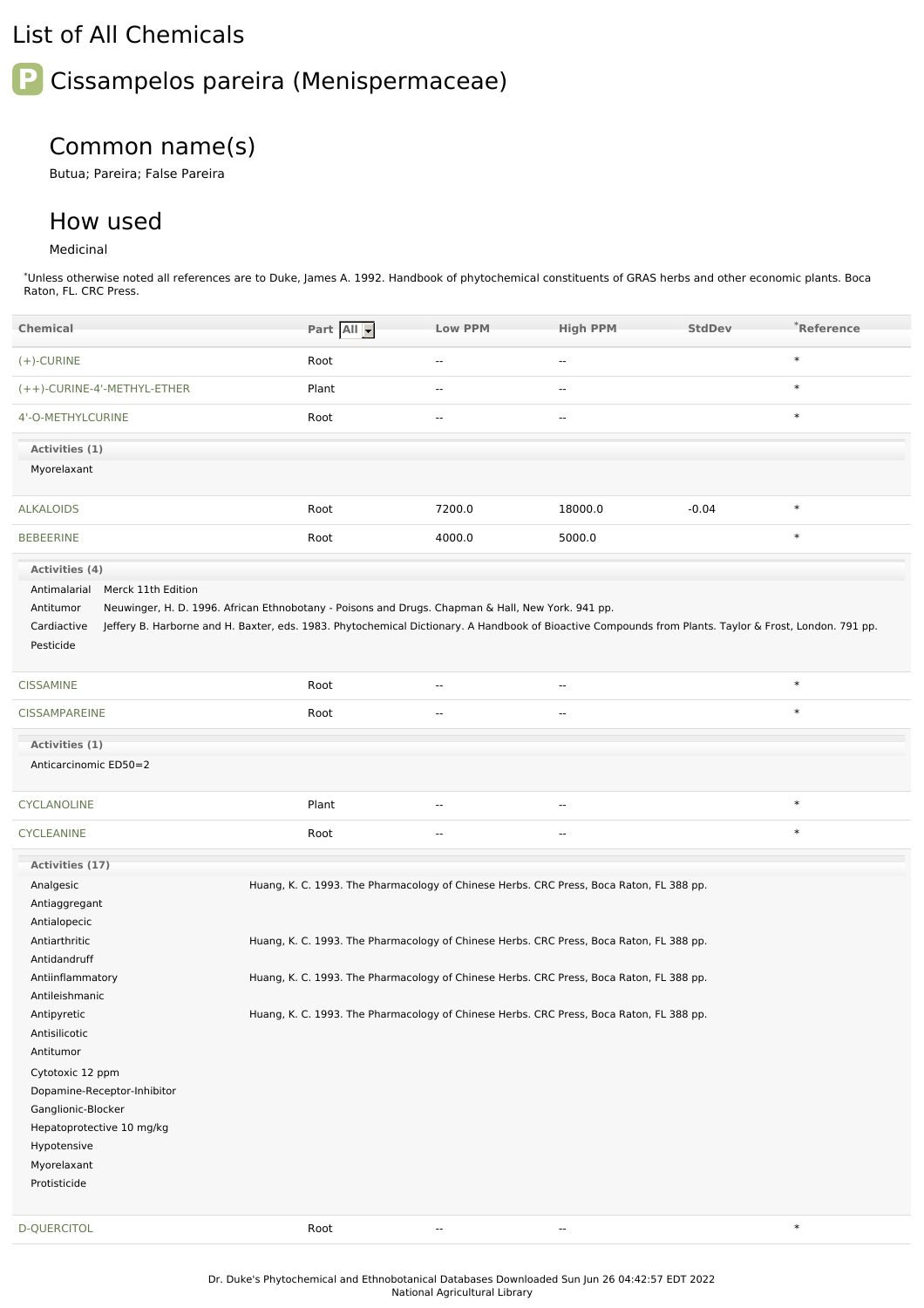## List of All Chemicals

## **P** Cissampelos pareira (Menispermaceae)

## Common name(s)

Butua; Pareira; False Pareira

## How used

Medicinal

\*Unless otherwise noted all references are to Duke, James A. 1992. Handbook of phytochemical constituents of GRAS herbs and other economic plants. Boca Raton, FL. CRC Press.

| <b>Chemical</b>                                                                                                                                                                                                                                                                                                    | Part All                                                                                                                                                                                                                                                                                                                                                                 | <b>Low PPM</b>           | <b>High PPM</b>          | <b>StdDev</b> | *Reference |
|--------------------------------------------------------------------------------------------------------------------------------------------------------------------------------------------------------------------------------------------------------------------------------------------------------------------|--------------------------------------------------------------------------------------------------------------------------------------------------------------------------------------------------------------------------------------------------------------------------------------------------------------------------------------------------------------------------|--------------------------|--------------------------|---------------|------------|
| $(+)$ -CURINE                                                                                                                                                                                                                                                                                                      | Root                                                                                                                                                                                                                                                                                                                                                                     | $\overline{\phantom{a}}$ | $\overline{\phantom{a}}$ |               | $\ast$     |
| (++)-CURINE-4'-METHYL-ETHER                                                                                                                                                                                                                                                                                        | Plant                                                                                                                                                                                                                                                                                                                                                                    | $\overline{a}$           | $\overline{\phantom{a}}$ |               | $\ast$     |
| 4'-O-METHYLCURINE                                                                                                                                                                                                                                                                                                  | Root                                                                                                                                                                                                                                                                                                                                                                     | $\sim$                   | $\sim$ $\sim$            |               | $\ast$     |
| Activities (1)<br>Myorelaxant                                                                                                                                                                                                                                                                                      |                                                                                                                                                                                                                                                                                                                                                                          |                          |                          |               |            |
| <b>ALKALOIDS</b>                                                                                                                                                                                                                                                                                                   | Root                                                                                                                                                                                                                                                                                                                                                                     | 7200.0                   | 18000.0                  | $-0.04$       | $\ast$     |
| <b>BEBEERINE</b>                                                                                                                                                                                                                                                                                                   | Root                                                                                                                                                                                                                                                                                                                                                                     | 4000.0                   | 5000.0                   |               | $\ast$     |
| Activities (4)<br>Merck 11th Edition<br>Antimalarial<br>Antitumor<br>Cardiactive<br>Pesticide                                                                                                                                                                                                                      | Neuwinger, H. D. 1996. African Ethnobotany - Poisons and Drugs. Chapman & Hall, New York. 941 pp.<br>Jeffery B. Harborne and H. Baxter, eds. 1983. Phytochemical Dictionary. A Handbook of Bioactive Compounds from Plants. Taylor & Frost, London. 791 pp.                                                                                                              |                          |                          |               |            |
| <b>CISSAMINE</b>                                                                                                                                                                                                                                                                                                   | Root                                                                                                                                                                                                                                                                                                                                                                     | $\overline{\phantom{a}}$ | $\overline{\phantom{a}}$ |               | $\ast$     |
| <b>CISSAMPAREINE</b>                                                                                                                                                                                                                                                                                               | Root                                                                                                                                                                                                                                                                                                                                                                     | --                       | $\overline{a}$           |               | $\ast$     |
| Activities (1)<br>Anticarcinomic ED50=2                                                                                                                                                                                                                                                                            |                                                                                                                                                                                                                                                                                                                                                                          |                          |                          |               |            |
| CYCLANOLINE                                                                                                                                                                                                                                                                                                        | Plant                                                                                                                                                                                                                                                                                                                                                                    | --                       |                          |               | $\ast$     |
| <b>CYCLEANINE</b>                                                                                                                                                                                                                                                                                                  | Root                                                                                                                                                                                                                                                                                                                                                                     | $\overline{\phantom{a}}$ | $\overline{a}$           |               | $\ast$     |
| Activities (17)                                                                                                                                                                                                                                                                                                    |                                                                                                                                                                                                                                                                                                                                                                          |                          |                          |               |            |
| Analgesic<br>Antiaggregant<br>Antialopecic<br>Antiarthritic<br>Antidandruff<br>Antiinflammatory<br>Antileishmanic<br>Antipyretic<br>Antisilicotic<br>Antitumor<br>Cytotoxic 12 ppm<br>Dopamine-Receptor-Inhibitor<br>Ganglionic-Blocker<br>Hepatoprotective 10 mg/kg<br>Hypotensive<br>Myorelaxant<br>Protisticide | Huang, K. C. 1993. The Pharmacology of Chinese Herbs. CRC Press, Boca Raton, FL 388 pp.<br>Huang, K. C. 1993. The Pharmacology of Chinese Herbs. CRC Press, Boca Raton, FL 388 pp.<br>Huang, K. C. 1993. The Pharmacology of Chinese Herbs. CRC Press, Boca Raton, FL 388 pp.<br>Huang, K. C. 1993. The Pharmacology of Chinese Herbs. CRC Press, Boca Raton, FL 388 pp. |                          |                          |               |            |
| <b>D-QUERCITOL</b>                                                                                                                                                                                                                                                                                                 | Root                                                                                                                                                                                                                                                                                                                                                                     | $\overline{\phantom{a}}$ | $\overline{\phantom{a}}$ |               | $\ast$     |